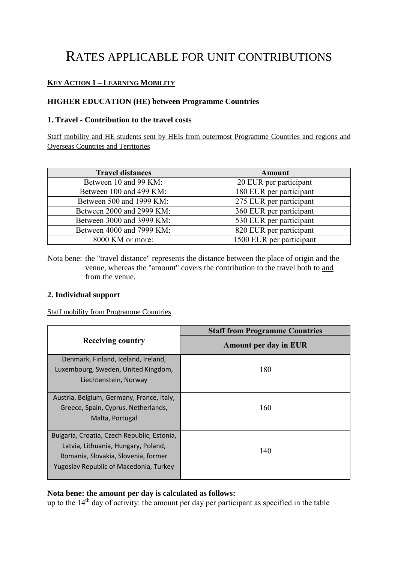# RATES APPLICABLE FOR UNIT CONTRIBUTIONS

# **KEY ACTION 1 – LEARNING MOBILITY**

# **HIGHER EDUCATION (HE) between Programme Countries**

# **1. Travel - Contribution to the travel costs**

Staff mobility and HE students sent by HEIs from outermost Programme Countries and regions and Overseas Countries and Territories

| <b>Travel distances</b>   | <b>Amount</b>            |
|---------------------------|--------------------------|
| Between 10 and 99 KM:     | 20 EUR per participant   |
| Between 100 and 499 KM:   | 180 EUR per participant  |
| Between 500 and 1999 KM:  | 275 EUR per participant  |
| Between 2000 and 2999 KM: | 360 EUR per participant  |
| Between 3000 and 3999 KM: | 530 EUR per participant  |
| Between 4000 and 7999 KM: | 820 EUR per participant  |
| 8000 KM or more:          | 1500 EUR per participant |

Nota bene: the "travel distance" represents the distance between the place of origin and the venue, whereas the "amount" covers the contribution to the travel both to and from the venue.

#### **2. Individual support**

#### Staff mobility from Programme Countries

| <b>Receiving country</b>                    | <b>Staff from Programme Countries</b> |  |
|---------------------------------------------|---------------------------------------|--|
|                                             | Amount per day in EUR                 |  |
| Denmark, Finland, Iceland, Ireland,         |                                       |  |
| Luxembourg, Sweden, United Kingdom,         | 180                                   |  |
| Liechtenstein, Norway                       |                                       |  |
|                                             |                                       |  |
| Austria, Belgium, Germany, France, Italy,   |                                       |  |
| Greece, Spain, Cyprus, Netherlands,         | 160                                   |  |
| Malta, Portugal                             |                                       |  |
|                                             |                                       |  |
| Bulgaria, Croatia, Czech Republic, Estonia, |                                       |  |
| Latvia, Lithuania, Hungary, Poland,         | 140                                   |  |
| Romania, Slovakia, Slovenia, former         |                                       |  |
| Yugoslav Republic of Macedonia, Turkey      |                                       |  |
|                                             |                                       |  |

#### **Nota bene: the amount per day is calculated as follows:**

up to the 14<sup>th</sup> day of activity: the amount per day per participant as specified in the table